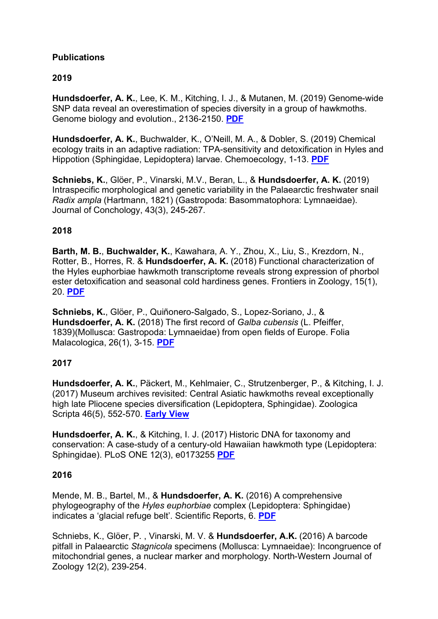## **Publications**

# **2019**

**Hundsdoerfer, A. K.**, Lee, K. M., Kitching, I. J., & Mutanen, M. (2019) Genome-wide SNP data reveal an overestimation of species diversity in a group of hawkmoths. Genome biology and evolution., 2136-2150. **PDF**

**Hundsdoerfer, A. K.**, Buchwalder, K., O'Neill, M. A., & Dobler, S. (2019) Chemical ecology traits in an adaptive radiation: TPA-sensitivity and detoxification in Hyles and Hippotion (Sphingidae, Lepidoptera) larvae. Chemoecology, 1-13. **PDF**

**Schniebs, K.**, Glöer, P., Vinarski, M.V., Beran, L., & **Hundsdoerfer, A. K.** (2019) Intraspecific morphological and genetic variability in the Palaearctic freshwater snail *Radix ampla* (Hartmann, 1821) (Gastropoda: Basommatophora: Lymnaeidae). Journal of Conchology, 43(3), 245-267.

## **2018**

**Barth, M. B.**, **Buchwalder, K.**, Kawahara, A. Y., Zhou, X., Liu, S., Krezdorn, N., Rotter, B., Horres, R. & **Hundsdoerfer, A. K.** (2018) Functional characterization of the Hyles euphorbiae hawkmoth transcriptome reveals strong expression of phorbol ester detoxification and seasonal cold hardiness genes. Frontiers in Zoology, 15(1), 20. **PDF**

**Schniebs, K.**, Glöer, P., Quiñonero-Salgado, S., Lopez-Soriano, J., & **Hundsdoerfer, A. K.** (2018) The first record of *Galba cubensis* (L. Pfeiffer, 1839)(Mollusca: Gastropoda: Lymnaeidae) from open fields of Europe. Folia Malacologica, 26(1), 3-15. **PDF**

## **2017**

**Hundsdoerfer, A. K.**, Päckert, M., Kehlmaier, C., Strutzenberger, P., & Kitching, I. J. (2017) Museum archives revisited: Central Asiatic hawkmoths reveal exceptionally high late Pliocene species diversification (Lepidoptera, Sphingidae). Zoologica Scripta 46(5), 552-570. **Early View**

**Hundsdoerfer, A. K.**, & Kitching, I. J. (2017) Historic DNA for taxonomy and conservation: A case-study of a century-old Hawaiian hawkmoth type (Lepidoptera: Sphingidae). PLoS ONE 12(3), e0173255 **PDF**

#### **2016**

Mende, M. B., Bartel, M., & **Hundsdoerfer, A. K.** (2016) A comprehensive phylogeography of the *Hyles euphorbiae* complex (Lepidoptera: Sphingidae) indicates a 'glacial refuge belt'. Scientific Reports, 6. **PDF**

Schniebs, K., Glöer, P. , Vinarski, M. V. & **Hundsdoerfer, A.K.** (2016) A barcode pitfall in Palaearctic *Stagnicola* specimens (Mollusca: Lymnaeidae): Incongruence of mitochondrial genes, a nuclear marker and morphology. North-Western Journal of Zoology 12(2), 239-254.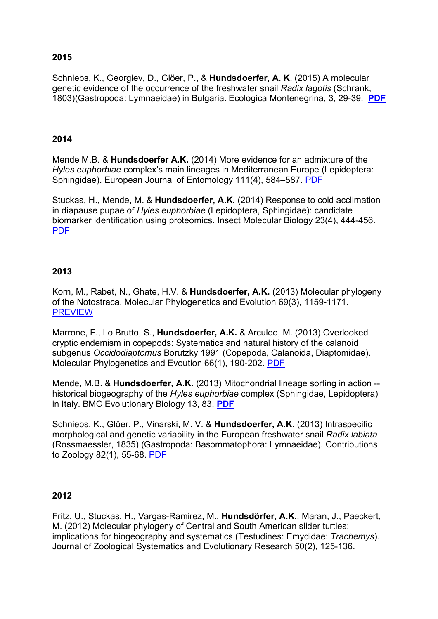## **2015**

Schniebs, K., Georgiev, D., Glöer, P., & **Hundsdoerfer, A. K**. (2015) A molecular genetic evidence of the occurrence of the freshwater snail *Radix lagotis* (Schrank, 1803)(Gastropoda: Lymnaeidae) in Bulgaria. Ecologica Montenegrina, 3, 29-39. **PDF**

#### **2014**

Mende M.B. & **Hundsdoerfer A.K.** (2014) More evidence for an admixture of the *Hyles euphorbiae* complex's main lineages in Mediterranean Europe (Lepidoptera: Sphingidae). European Journal of Entomology 111(4), 584–587. PDF

Stuckas, H., Mende, M. & **Hundsdoerfer, A.K.** (2014) Response to cold acclimation in diapause pupae of *Hyles euphorbiae* (Lepidoptera, Sphingidae): candidate biomarker identification using proteomics. Insect Molecular Biology 23(4), 444-456. PDF

### **2013**

Korn, M., Rabet, N., Ghate, H.V. & **Hundsdoerfer, A.K.** (2013) Molecular phylogeny of the Notostraca. Molecular Phylogenetics and Evolution 69(3), 1159-1171. **PREVIEW** 

Marrone, F., Lo Brutto, S., **Hundsdoerfer, A.K.** & Arculeo, M. (2013) Overlooked cryptic endemism in copepods: Systematics and natural history of the calanoid subgenus *Occidodiaptomus* Borutzky 1991 (Copepoda, Calanoida, Diaptomidae). Molecular Phylogenetics and Evoution 66(1), 190-202. PDF

Mende, M.B. & **Hundsdoerfer, A.K.** (2013) Mitochondrial lineage sorting in action - historical biogeography of the *Hyles euphorbiae* complex (Sphingidae, Lepidoptera) in Italy. BMC Evolutionary Biology 13, 83. **PDF**

Schniebs, K., Glöer, P., Vinarski, M. V. & **Hundsdoerfer, A.K.** (2013) Intraspecific morphological and genetic variability in the European freshwater snail *Radix labiata* (Rossmaessler, 1835) (Gastropoda: Basommatophora: Lymnaeidae). Contributions to Zoology 82(1), 55-68. PDF

#### **2012**

Fritz, U., Stuckas, H., Vargas-Ramirez, M., **Hundsdörfer, A.K.**, Maran, J., Paeckert, M. (2012) Molecular phylogeny of Central and South American slider turtles: implications for biogeography and systematics (Testudines: Emydidae: *Trachemys*). Journal of Zoological Systematics and Evolutionary Research 50(2), 125-136.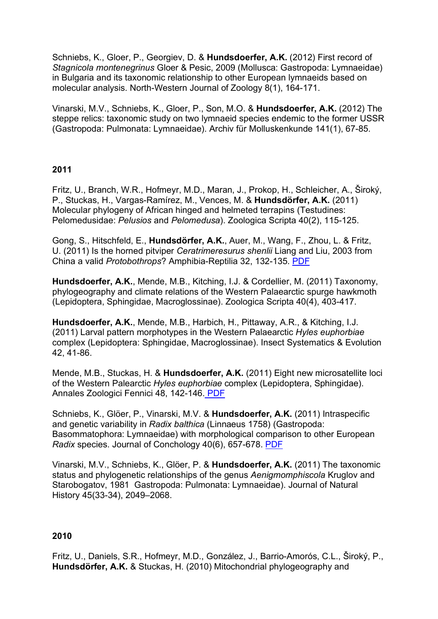Schniebs, K., Gloer, P., Georgiev, D. & **Hundsdoerfer, A.K.** (2012) First record of *Stagnicola montenegrinus* Gloer & Pesic, 2009 (Mollusca: Gastropoda: Lymnaeidae) in Bulgaria and its taxonomic relationship to other European lymnaeids based on molecular analysis. North-Western Journal of Zoology 8(1), 164-171.

Vinarski, M.V., Schniebs, K., Gloer, P., Son, M.O. & **Hundsdoerfer, A.K.** (2012) The steppe relics: taxonomic study on two lymnaeid species endemic to the former USSR (Gastropoda: Pulmonata: Lymnaeidae). Archiv für Molluskenkunde 141(1), 67-85.

### **2011**

Fritz, U., Branch, W.R., Hofmeyr, M.D., Maran, J., Prokop, H., Schleicher, A., Široký, P., Stuckas, H., Vargas-Ramírez, M., Vences, M. & **Hundsdörfer, A.K.** (2011) Molecular phylogeny of African hinged and helmeted terrapins (Testudines: Pelomedusidae: *Pelusios* and *Pelomedusa*). Zoologica Scripta 40(2), 115-125.

Gong, S., Hitschfeld, E., **Hundsdörfer, A.K.**, Auer, M., Wang, F., Zhou, L. & Fritz, U. (2011) Is the horned pitviper *Ceratrimeresurus shenlii* Liang and Liu, 2003 from China a valid *Protobothrops*? Amphibia-Reptilia 32, 132-135. PDF

**Hundsdoerfer, A.K.**, Mende, M.B., Kitching, I.J. & Cordellier, M. (2011) Taxonomy, phylogeography and climate relations of the Western Palaearctic spurge hawkmoth (Lepidoptera, Sphingidae, Macroglossinae). Zoologica Scripta 40(4), 403-417.

**Hundsdoerfer, A.K.**, Mende, M.B., Harbich, H., Pittaway, A.R., & Kitching, I.J. (2011) Larval pattern morphotypes in the Western Palaearctic *Hyles euphorbiae* complex (Lepidoptera: Sphingidae, Macroglossinae). Insect Systematics & Evolution 42, 41-86.

Mende, M.B., Stuckas, H. & **Hundsdoerfer, A.K.** (2011) Eight new microsatellite loci of the Western Palearctic *Hyles euphorbiae* complex (Lepidoptera, Sphingidae). Annales Zoologici Fennici 48, 142-146. PDF

Schniebs, K., Glöer, P., Vinarski, M.V. & **Hundsdoerfer, A.K.** (2011) Intraspecific and genetic variability in *Radix balthica* (Linnaeus 1758) (Gastropoda: Basommatophora: Lymnaeidae) with morphological comparison to other European *Radix* species. Journal of Conchology 40(6), 657-678. PDF

Vinarski, M.V., Schniebs, K., Glöer, P. & **Hundsdoerfer, A.K.** (2011) The taxonomic status and phylogenetic relationships of the genus *Aenigmomphiscola* Kruglov and Starobogatov, 1981 Gastropoda: Pulmonata: Lymnaeidae). Journal of Natural History 45(33-34), 2049–2068.

#### **2010**

Fritz, U., Daniels, S.R., Hofmeyr, M.D., González, J., Barrio-Amorós, C.L., Široký, P., **Hundsdörfer, A.K.** & Stuckas, H. (2010) Mitochondrial phylogeography and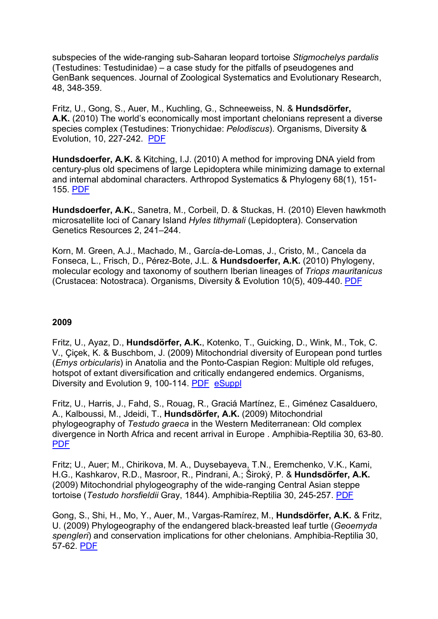subspecies of the wide-ranging sub-Saharan leopard tortoise *Stigmochelys pardalis* (Testudines: Testudinidae) – a case study for the pitfalls of pseudogenes and GenBank sequences. Journal of Zoological Systematics and Evolutionary Research, 48, 348-359.

Fritz, U., Gong, S., Auer, M., Kuchling, G., Schneeweiss, N. & **Hundsdörfer, A.K.** (2010) The world's economically most important chelonians represent a diverse species complex (Testudines: Trionychidae: *Pelodiscus*). Organisms, Diversity & Evolution, 10, 227-242. PDF

**Hundsdoerfer, A.K.** & Kitching, I.J. (2010) A method for improving DNA yield from century-plus old specimens of large Lepidoptera while minimizing damage to external and internal abdominal characters. Arthropod Systematics & Phylogeny 68(1), 151- 155. PDF

**Hundsdoerfer, A.K.**, Sanetra, M., Corbeil, D. & Stuckas, H. (2010) Eleven hawkmoth microsatellite loci of Canary Island *Hyles tithymali* (Lepidoptera). Conservation Genetics Resources 2, 241–244.

Korn, M. Green, A.J., Machado, M., García-de-Lomas, J., Cristo, M., Cancela da Fonseca, L., Frisch, D., Pérez-Bote, J.L. & **Hundsdoerfer, A.K.** (2010) Phylogeny, molecular ecology and taxonomy of southern Iberian lineages of *Triops mauritanicus* (Crustacea: Notostraca). Organisms, Diversity & Evolution 10(5), 409-440. PDF

#### **2009**

Fritz, U., Ayaz, D., **Hundsdörfer, A.K.**, Kotenko, T., Guicking, D., Wink, M., Tok, C. V., Çiçek, K. & Buschbom, J. (2009) Mitochondrial diversity of European pond turtles (*Emys orbicularis*) in Anatolia and the Ponto-Caspian Region: Multiple old refuges, hotspot of extant diversification and critically endangered endemics. Organisms, Diversity and Evolution 9, 100-114. PDF eSuppl

Fritz, U., Harris, J., Fahd, S., Rouag, R., Graciá Martínez, E., Giménez Casalduero, A., Kalboussi, M., Jdeidi, T., **Hundsdörfer, A.K.** (2009) Mitochondrial phylogeography of *Testudo graeca* in the Western Mediterranean: Old complex divergence in North Africa and recent arrival in Europe . Amphibia-Reptilia 30, 63-80. PDF

Fritz; U., Auer; M., Chirikova, M. A., Duysebayeva, T.N., Eremchenko, V.K., Kami, H.G., Kashkarov, R.D., Masroor, R., Pindrani, A.; Široký, P. & **Hundsdörfer, A.K.** (2009) Mitochondrial phylogeography of the wide-ranging Central Asian steppe tortoise (*Testudo horsfieldii* Gray, 1844). Amphibia-Reptilia 30, 245-257. PDF

Gong, S., Shi, H., Mo, Y., Auer, M., Vargas-Ramírez, M., **Hundsdörfer, A.K.** & Fritz, U. (2009) Phylogeography of the endangered black-breasted leaf turtle (*Geoemyda spengleri*) and conservation implications for other chelonians. Amphibia-Reptilia 30, 57-62. PDF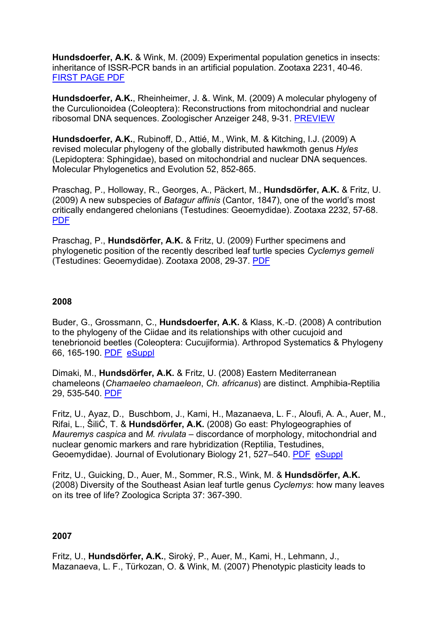**Hundsdoerfer, A.K.** & Wink, M. (2009) Experimental population genetics in insects: inheritance of ISSR-PCR bands in an artificial population. Zootaxa 2231, 40-46. FIRST PAGE PDF

**Hundsdoerfer, A.K.**, Rheinheimer, J. &. Wink, M. (2009) A molecular phylogeny of the Curculionoidea (Coleoptera): Reconstructions from mitochondrial and nuclear ribosomal DNA sequences. Zoologischer Anzeiger 248, 9-31. PREVIEW

**Hundsdoerfer, A.K.**, Rubinoff, D., Attié, M., Wink, M. & Kitching, I.J. (2009) A revised molecular phylogeny of the globally distributed hawkmoth genus *Hyles* (Lepidoptera: Sphingidae), based on mitochondrial and nuclear DNA sequences. Molecular Phylogenetics and Evolution 52, 852-865.

Praschag, P., Holloway, R., Georges, A., Päckert, M., **Hundsdörfer, A.K.** & Fritz, U. (2009) A new subspecies of *Batagur affinis* (Cantor, 1847), one of the world's most critically endangered chelonians (Testudines: Geoemydidae). Zootaxa 2232, 57-68. PDF

Praschag, P., **Hundsdörfer, A.K.** & Fritz, U. (2009) Further specimens and phylogenetic position of the recently described leaf turtle species *Cyclemys gemeli* (Testudines: Geoemydidae). Zootaxa 2008, 29-37. PDF

#### **2008**

Buder, G., Grossmann, C., **Hundsdoerfer, A.K.** & Klass, K.-D. (2008) A contribution to the phylogeny of the Ciidae and its relationships with other cucujoid and tenebrionoid beetles (Coleoptera: Cucujiformia). Arthropod Systematics & Phylogeny 66, 165-190. PDF eSuppl

Dimaki, M., **Hundsdörfer, A.K.** & Fritz, U. (2008) Eastern Mediterranean chameleons (*Chamaeleo chamaeleon*, *Ch. africanus*) are distinct. Amphibia-Reptilia 29, 535-540. PDF

Fritz, U., Ayaz, D., Buschbom, J., Kami, H., Mazanaeva, L. F., Aloufi, A. A., Auer, M., Rifai, L., ŠiliĆ, T. & **Hundsdörfer, A.K.** (2008) Go east: Phylogeographies of *Mauremys caspica* and *M. rivulata* – discordance of morphology, mitochondrial and nuclear genomic markers and rare hybridization (Reptilia, Testudines, Geoemydidae). Journal of Evolutionary Biology 21, 527–540. PDF eSuppl

Fritz, U., Guicking, D., Auer, M., Sommer, R.S., Wink, M. & **Hundsdörfer, A.K.** (2008) Diversity of the Southeast Asian leaf turtle genus *Cyclemys*: how many leaves on its tree of life? Zoologica Scripta 37: 367-390.

#### **2007**

Fritz, U., **Hundsdörfer, A.K.**, Siroký, P., Auer, M., Kami, H., Lehmann, J., Mazanaeva, L. F., Türkozan, O. & Wink, M. (2007) Phenotypic plasticity leads to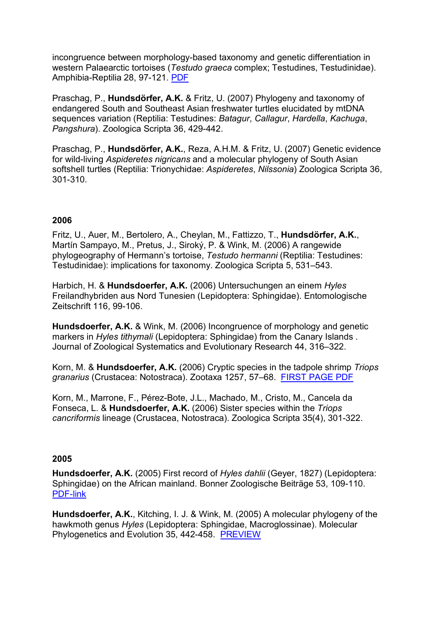incongruence between morphology-based taxonomy and genetic differentiation in western Palaearctic tortoises (*Testudo graeca* complex; Testudines, Testudinidae). Amphibia-Reptilia 28, 97-121. PDF

Praschag, P., **Hundsdörfer, A.K.** & Fritz, U. (2007) Phylogeny and taxonomy of endangered South and Southeast Asian freshwater turtles elucidated by mtDNA sequences variation (Reptilia: Testudines: *Batagur*, *Callagur*, *Hardella*, *Kachuga*, *Pangshura*). Zoologica Scripta 36, 429-442.

Praschag, P., **Hundsdörfer, A.K.**, Reza, A.H.M. & Fritz, U. (2007) Genetic evidence for wild-living *Aspideretes nigricans* and a molecular phylogeny of South Asian softshell turtles (Reptilia: Trionychidae: *Aspideretes*, *Nilssonia*) Zoologica Scripta 36, 301-310.

### **2006**

Fritz, U., Auer, M., Bertolero, A., Cheylan, M., Fattizzo, T., **Hundsdörfer, A.K.**, Martín Sampayo, M., Pretus, J., Siroký, P. & Wink, M. (2006) A rangewide phylogeography of Hermann's tortoise, *Testudo hermanni* (Reptilia: Testudines: Testudinidae): implications for taxonomy. Zoologica Scripta 5, 531–543.

Harbich, H. & **Hundsdoerfer, A.K.** (2006) Untersuchungen an einem *Hyles* Freilandhybriden aus Nord Tunesien (Lepidoptera: Sphingidae). Entomologische Zeitschrift 116, 99-106.

**Hundsdoerfer, A.K.** & Wink, M. (2006) Incongruence of morphology and genetic markers in *Hyles tithymali* (Lepidoptera: Sphingidae) from the Canary Islands . Journal of Zoological Systematics and Evolutionary Research 44, 316–322.

Korn, M. & **Hundsdoerfer, A.K.** (2006) Cryptic species in the tadpole shrimp *Triops granarius* (Crustacea: Notostraca). Zootaxa 1257, 57–68. FIRST PAGE PDF

Korn, M., Marrone, F., Pérez-Bote, J.L., Machado, M., Cristo, M., Cancela da Fonseca, L. & **Hundsdoerfer, A.K.** (2006) Sister species within the *Triops cancriformis* lineage (Crustacea, Notostraca). Zoologica Scripta 35(4), 301-322.

#### **2005**

**Hundsdoerfer, A.K.** (2005) First record of *Hyles dahlii* (Geyer, 1827) (Lepidoptera: Sphingidae) on the African mainland. Bonner Zoologische Beiträge 53, 109-110. PDF-link

**Hundsdoerfer, A.K.**, Kitching, I. J. & Wink, M. (2005) A molecular phylogeny of the hawkmoth genus *Hyles* (Lepidoptera: Sphingidae, Macroglossinae). Molecular Phylogenetics and Evolution 35, 442-458. PREVIEW